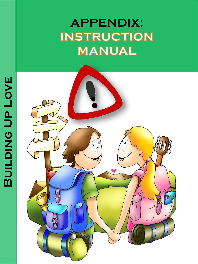# **APPENDIX:INSTRUCTION MANUAL**

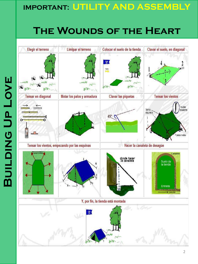#### **IMPORTANT: UTILITY AND ASSEMBLY**

## **The Wounds of the Heart**

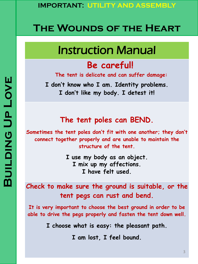### **The Wounds of the Heart**

## Instruction Manual

#### **Be careful!**

**The tent is delicate and can suffer damage:**

**I don't know who I am. Identity problems. I don't like my body. I detest it!**

#### **The tent poles can BEND.**

**Sometimes the tent poles don't fit with one another; they don't connect together properly and are unable to maintain the structure of the tent.**

> **I use my body as an object. I mix up my affections. I have felt used.**

**Check to make sure the ground is suitable, or the tent pegs can rust and bend.**

**It is very important to choose the best ground in order to be able to drive the pegs properly and fasten the tent down well.**

**I choose what is easy: the pleasant path.**

**I am lost, I feel bound.**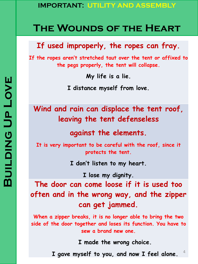### **The Wounds of the Heart**

#### **If used improperly, the ropes can fray.**

**If the ropes aren't stretched taut over the tent or affixed to the pegs properly, the tent will collapse.**

**My life is a lie.**

**I distance myself from love.**

**Wind and rain can displace the tent roof, leaving the tent defenseless** 

**against the elements.**

**It is very important to be careful with the roof, since it protects the tent.**

**I don't listen to my heart.**

**I lose my dignity.**

**The door can come loose if it is used too often and in the wrong way, and the zipper can get jammed.**

**When a zipper breaks, it is no longer able to bring the two side of the door together and loses its function. You have to sew a brand new one.**

**I made the wrong choice.**

**I gave myself to you, and now I feel alone.**

4